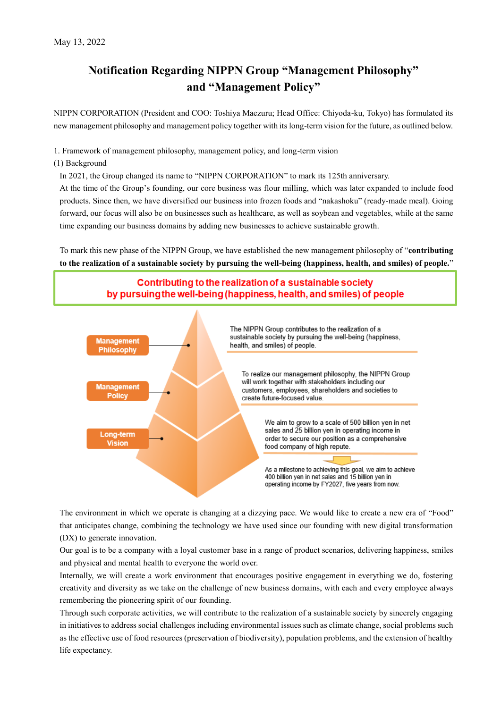# **Notification Regarding NIPPN Group "Management Philosophy" and "Management Policy"**

NIPPN CORPORATION (President and COO: Toshiya Maezuru; Head Office: Chiyoda-ku, Tokyo) has formulated its new management philosophy and management policy together with its long-term vision for the future, as outlined below.

1. Framework of management philosophy, management policy, and long-term vision

(1) Background

In 2021, the Group changed its name to "NIPPN CORPORATION" to mark its 125th anniversary.

At the time of the Group's founding, our core business was flour milling, which was later expanded to include food products. Since then, we have diversified our business into frozen foods and "nakashoku" (ready-made meal). Going forward, our focus will also be on businesses such as healthcare, as well as soybean and vegetables, while at the same time expanding our business domains by adding new businesses to achieve sustainable growth.

To mark this new phase of the NIPPN Group, we have established the new management philosophy of "**contributing to the realization of a sustainable society by pursuing the well-being (happiness, health, and smiles) of people.**"





The environment in which we operate is changing at a dizzying pace. We would like to create a new era of "Food" that anticipates change, combining the technology we have used since our founding with new digital transformation (DX) to generate innovation.

Our goal is to be a company with a loyal customer base in a range of product scenarios, delivering happiness, smiles and physical and mental health to everyone the world over.

Internally, we will create a work environment that encourages positive engagement in everything we do, fostering creativity and diversity as we take on the challenge of new business domains, with each and every employee always remembering the pioneering spirit of our founding.

Through such corporate activities, we will contribute to the realization of a sustainable society by sincerely engaging in initiatives to address social challenges including environmental issues such as climate change, social problems such as the effective use of food resources (preservation of biodiversity), population problems, and the extension of healthy life expectancy.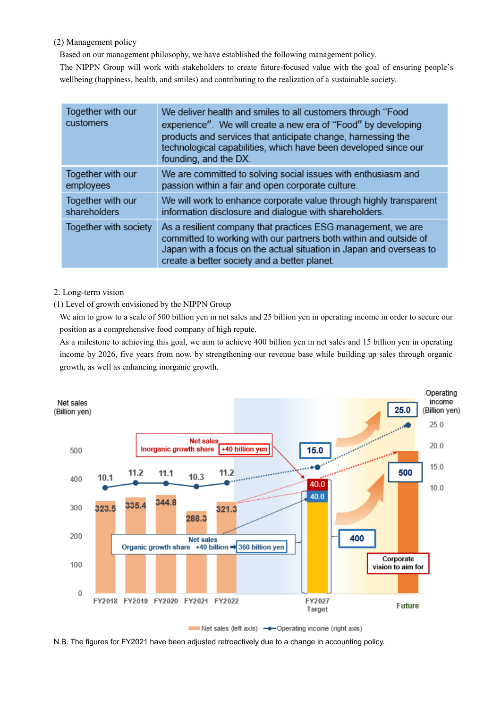(2) Management policy

Based on our management philosophy, we have established the following management policy.

The NIPPN Group will work with stakeholders to create future-focused value with the goal of ensuring people's wellbeing (happiness, health, and smiles) and contributing to the realization of a sustainable society.

| Together with our<br>customers | We deliver health and smiles to all customers through "Food<br>experience". We will create a new era of "Food" by developing<br>products and services that anticipate change, harnessing the<br>technological capabilities, which have been developed since our<br>founding, and the DX. |
|--------------------------------|------------------------------------------------------------------------------------------------------------------------------------------------------------------------------------------------------------------------------------------------------------------------------------------|
| Together with our              | We are committed to solving social issues with enthusiasm and                                                                                                                                                                                                                            |
| employees                      | passion within a fair and open corporate culture.                                                                                                                                                                                                                                        |
| Together with our              | We will work to enhance corporate value through highly transparent                                                                                                                                                                                                                       |
| shareholders                   | information disclosure and dialogue with shareholders.                                                                                                                                                                                                                                   |
| Together with society          | As a resilient company that practices ESG management, we are<br>committed to working with our partners both within and outside of<br>Japan with a focus on the actual situation in Japan and overseas to<br>create a better society and a better planet.                                 |

## 2. Long-term vision

### (1) Level of growth envisioned by the NIPPN Group

We aim to grow to a scale of 500 billion yen in net sales and 25 billion yen in operating income in order to secure our position as a comprehensive food company of high repute.

As a milestone to achieving this goal, we aim to achieve 400 billion yen in net sales and 15 billion yen in operating income by 2026, five years from now, by strengthening our revenue base while building up sales through organic growth, as well as enhancing inorganic growth.



N.B. The figures for FY2021 have been adjusted retroactively due to a change in accounting policy.